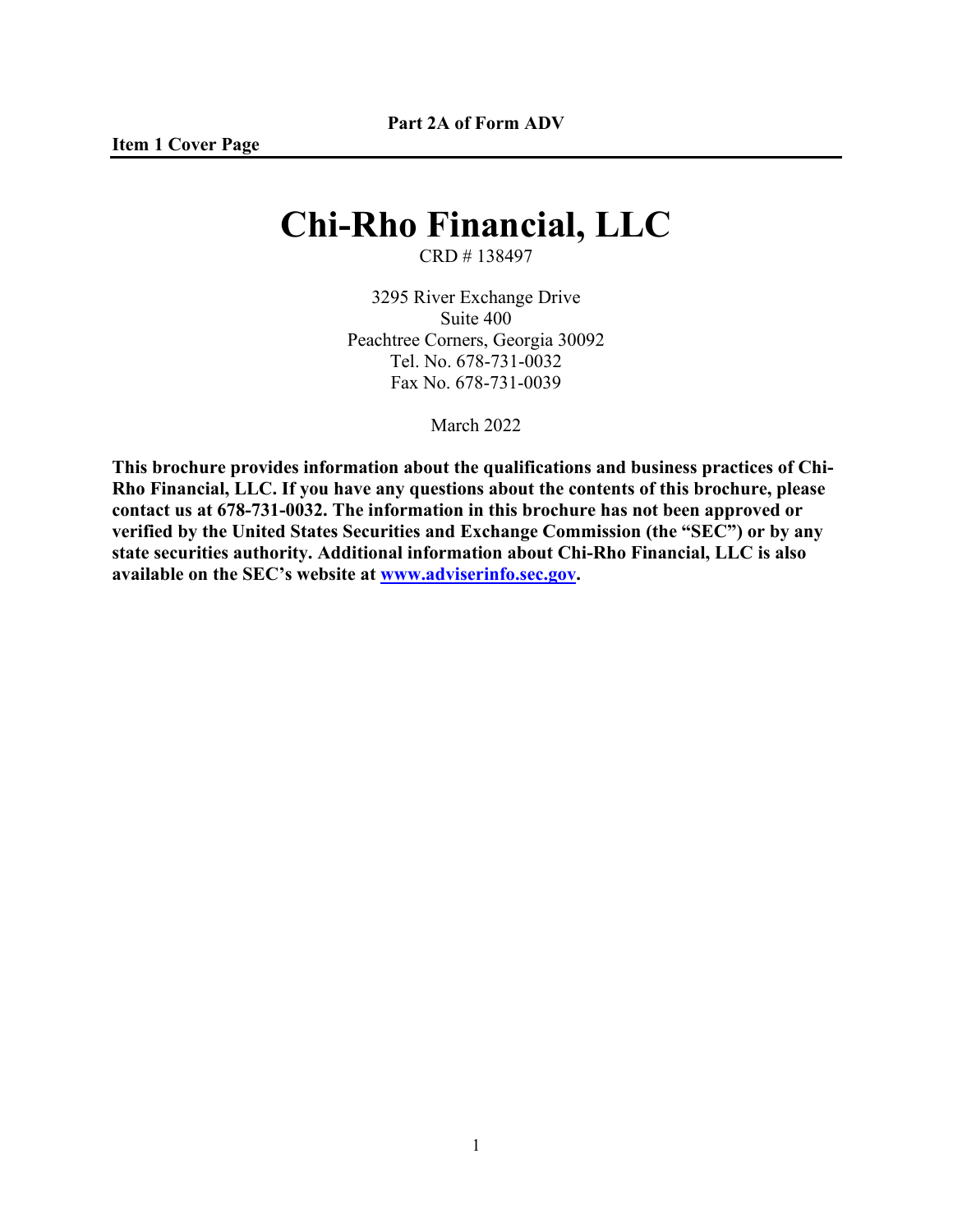# **Chi-Rho Financial, LLC**

CRD # 138497

3295 River Exchange Drive Suite 400 Peachtree Corners, Georgia 30092 Tel. No. 678-731-0032 Fax No. 678-731-0039

March 2022

**This brochure provides information about the qualifications and business practices of Chi-Rho Financial, LLC. If you have any questions about the contents of this brochure, please contact us at 678-731-0032. The information in this brochure has not been approved or verified by the United States Securities and Exchange Commission (the "SEC") or by any state securities authority. Additional information about Chi-Rho Financial, LLC is also available on the SEC's website at [www.adviserinfo.sec.gov.](http://www.adviserinfo.sec.gov/)**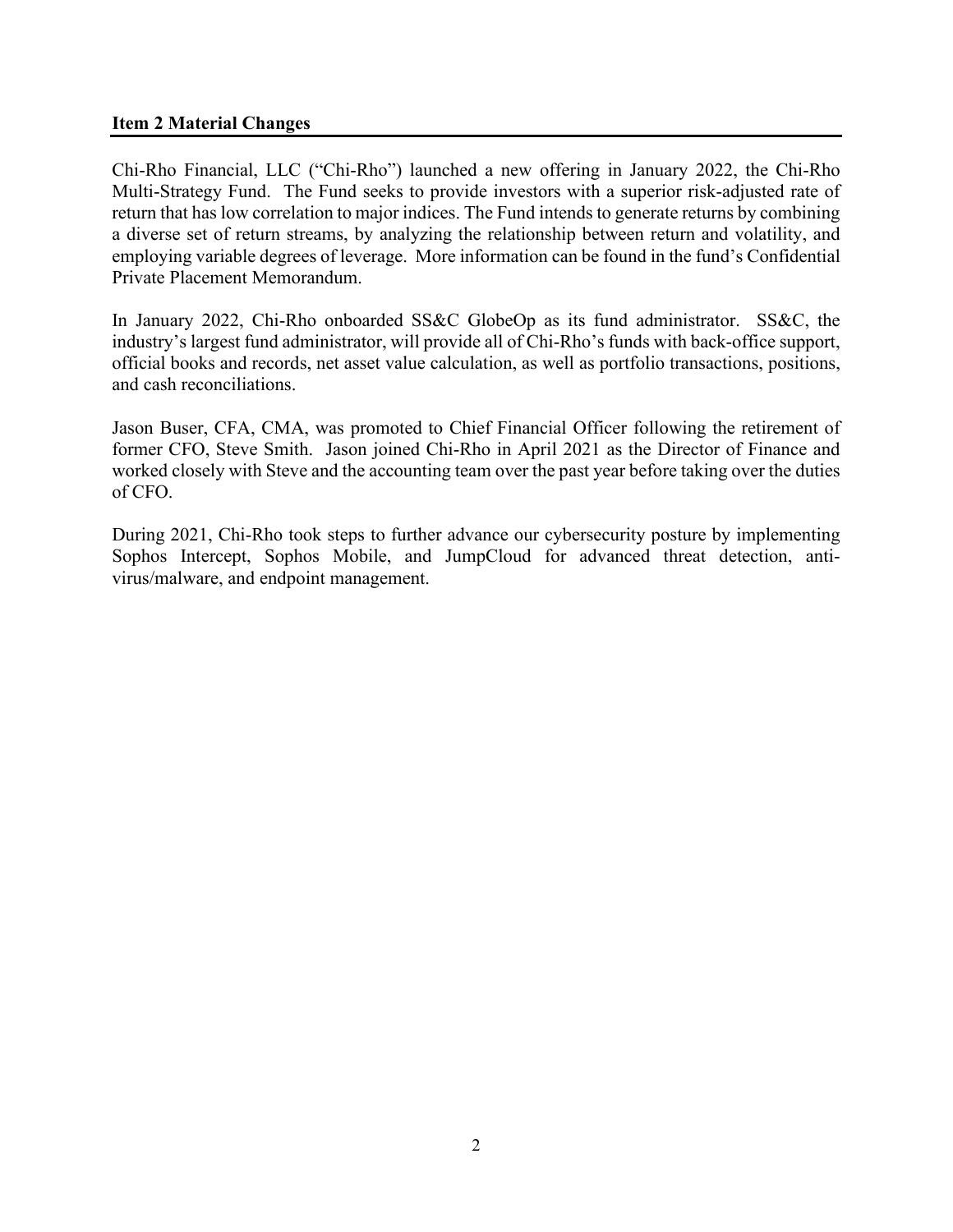#### **Item 2 Material Changes**

Chi-Rho Financial, LLC ("Chi-Rho") launched a new offering in January 2022, the Chi-Rho Multi-Strategy Fund. The Fund seeks to provide investors with a superior risk-adjusted rate of return that has low correlation to major indices. The Fund intends to generate returns by combining a diverse set of return streams, by analyzing the relationship between return and volatility, and employing variable degrees of leverage. More information can be found in the fund's Confidential Private Placement Memorandum.

In January 2022, Chi-Rho onboarded SS&C GlobeOp as its fund administrator. SS&C, the industry's largest fund administrator, will provide all of Chi-Rho's funds with back-office support, official books and records, net asset value calculation, as well as portfolio transactions, positions, and cash reconciliations.

Jason Buser, CFA, CMA, was promoted to Chief Financial Officer following the retirement of former CFO, Steve Smith. Jason joined Chi-Rho in April 2021 as the Director of Finance and worked closely with Steve and the accounting team over the past year before taking over the duties of CFO.

During 2021, Chi-Rho took steps to further advance our cybersecurity posture by implementing Sophos Intercept, Sophos Mobile, and JumpCloud for advanced threat detection, antivirus/malware, and endpoint management.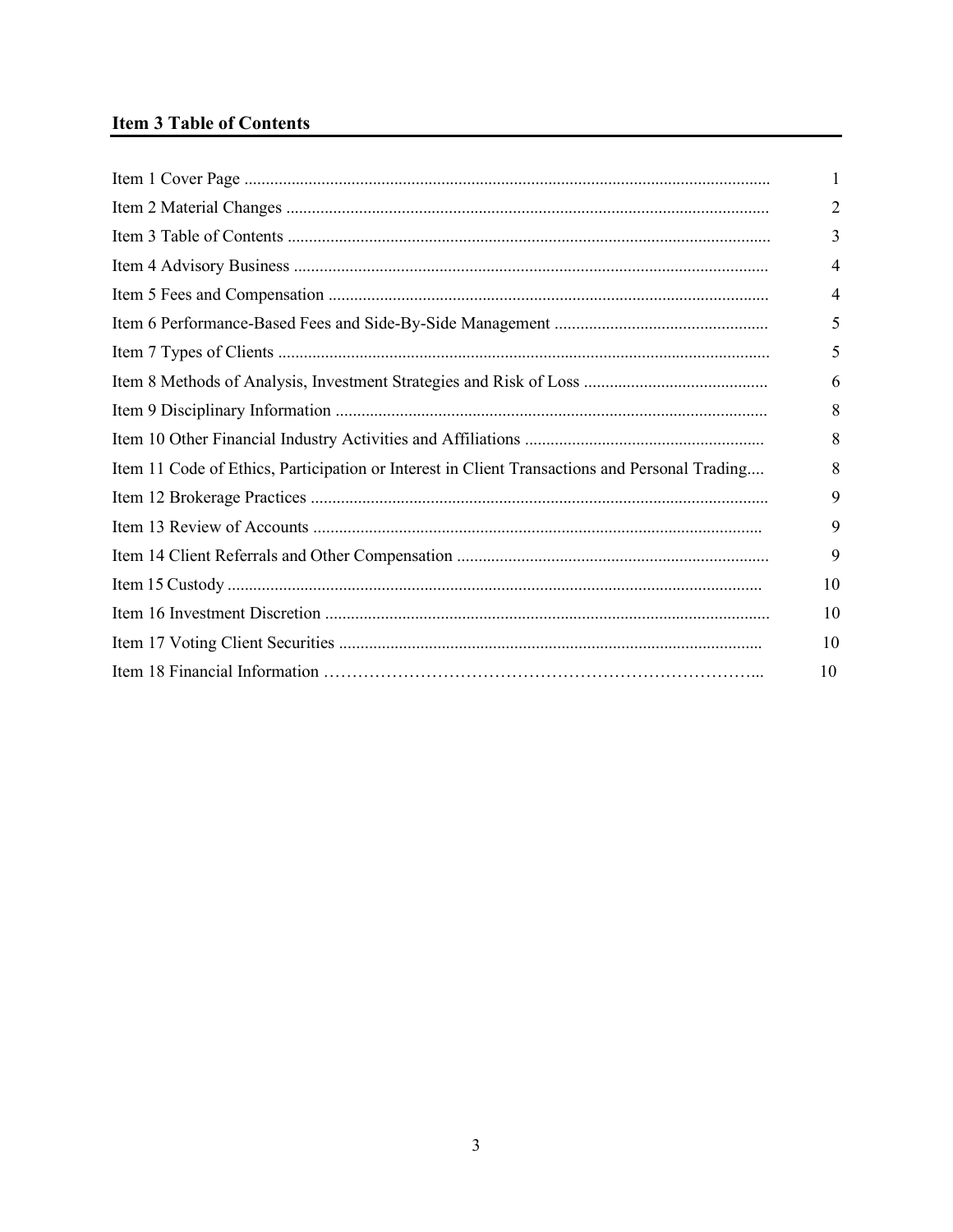## **Item 3 Table of Contents**

|                                                                                               | 1  |
|-----------------------------------------------------------------------------------------------|----|
|                                                                                               | 2  |
|                                                                                               | 3  |
|                                                                                               | 4  |
|                                                                                               | 4  |
|                                                                                               | 5  |
|                                                                                               | 5  |
|                                                                                               | 6  |
|                                                                                               | 8  |
|                                                                                               | 8  |
| Item 11 Code of Ethics, Participation or Interest in Client Transactions and Personal Trading | 8  |
|                                                                                               | 9  |
|                                                                                               | 9  |
|                                                                                               | 9  |
|                                                                                               | 10 |
|                                                                                               | 10 |
|                                                                                               | 10 |
|                                                                                               | 10 |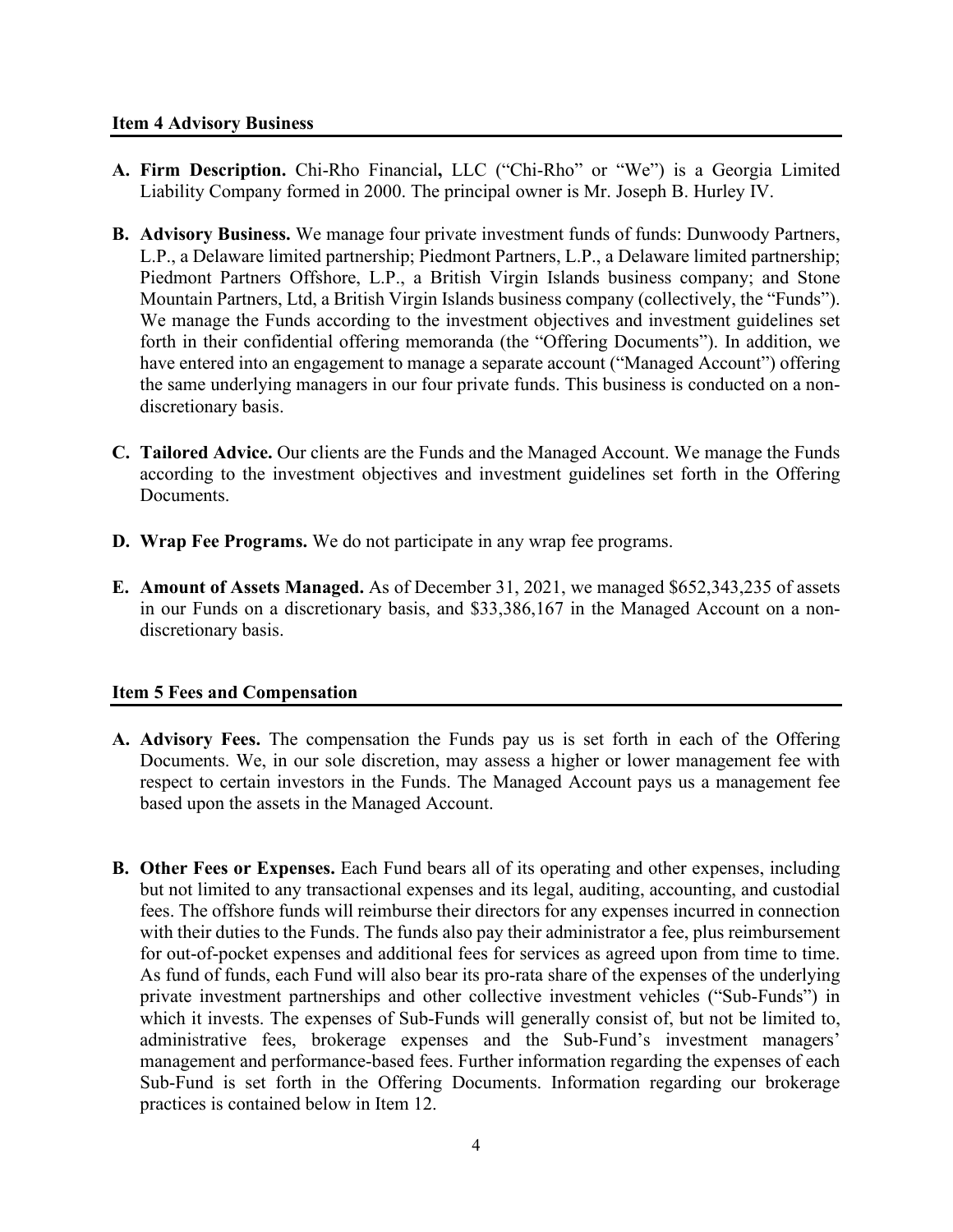- **A. Firm Description.** Chi-Rho Financial**,** LLC ("Chi-Rho" or "We") is a Georgia Limited Liability Company formed in 2000. The principal owner is Mr. Joseph B. Hurley IV.
- **B. Advisory Business.** We manage four private investment funds of funds: Dunwoody Partners, L.P., a Delaware limited partnership; Piedmont Partners, L.P., a Delaware limited partnership; Piedmont Partners Offshore, L.P., a British Virgin Islands business company; and Stone Mountain Partners, Ltd, a British Virgin Islands business company (collectively, the "Funds"). We manage the Funds according to the investment objectives and investment guidelines set forth in their confidential offering memoranda (the "Offering Documents"). In addition, we have entered into an engagement to manage a separate account ("Managed Account") offering the same underlying managers in our four private funds. This business is conducted on a nondiscretionary basis.
- **C. Tailored Advice.** Our clients are the Funds and the Managed Account. We manage the Funds according to the investment objectives and investment guidelines set forth in the Offering Documents.
- **D. Wrap Fee Programs.** We do not participate in any wrap fee programs.
- **E. Amount of Assets Managed.** As of December 31, 2021, we managed \$652,343,235 of assets in our Funds on a discretionary basis, and \$33,386,167 in the Managed Account on a nondiscretionary basis.

## **Item 5 Fees and Compensation**

- **A. Advisory Fees.** The compensation the Funds pay us is set forth in each of the Offering Documents. We, in our sole discretion, may assess a higher or lower management fee with respect to certain investors in the Funds. The Managed Account pays us a management fee based upon the assets in the Managed Account.
- **B. Other Fees or Expenses.** Each Fund bears all of its operating and other expenses, including but not limited to any transactional expenses and its legal, auditing, accounting, and custodial fees. The offshore funds will reimburse their directors for any expenses incurred in connection with their duties to the Funds. The funds also pay their administrator a fee, plus reimbursement for out-of-pocket expenses and additional fees for services as agreed upon from time to time. As fund of funds, each Fund will also bear its pro-rata share of the expenses of the underlying private investment partnerships and other collective investment vehicles ("Sub-Funds") in which it invests. The expenses of Sub-Funds will generally consist of, but not be limited to, administrative fees, brokerage expenses and the Sub-Fund's investment managers' management and performance-based fees. Further information regarding the expenses of each Sub-Fund is set forth in the Offering Documents. Information regarding our brokerage practices is contained below in Item 12.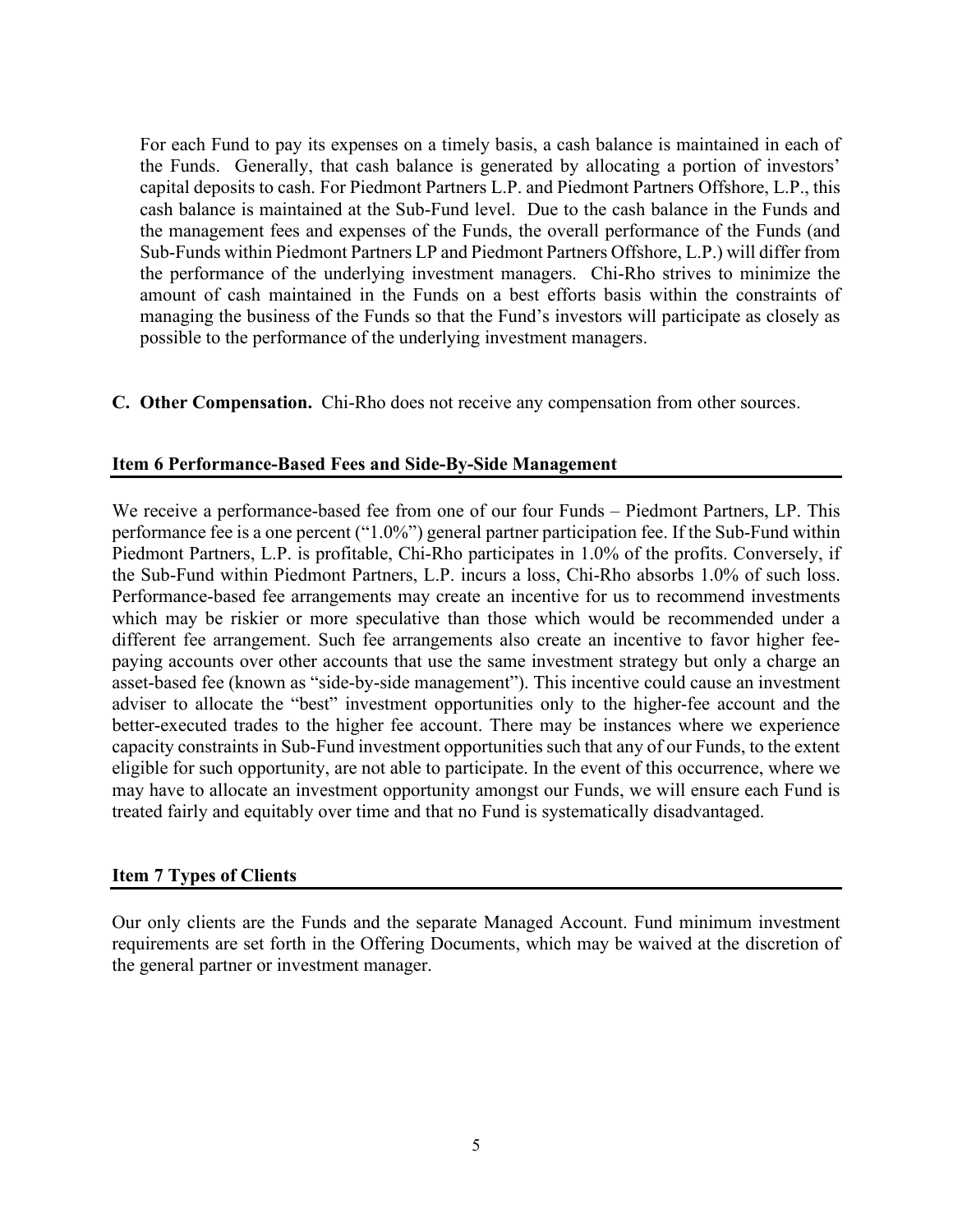For each Fund to pay its expenses on a timely basis, a cash balance is maintained in each of the Funds. Generally, that cash balance is generated by allocating a portion of investors' capital deposits to cash. For Piedmont Partners L.P. and Piedmont Partners Offshore, L.P., this cash balance is maintained at the Sub-Fund level. Due to the cash balance in the Funds and the management fees and expenses of the Funds, the overall performance of the Funds (and Sub-Funds within Piedmont Partners LP and Piedmont Partners Offshore, L.P.) will differ from the performance of the underlying investment managers. Chi-Rho strives to minimize the amount of cash maintained in the Funds on a best efforts basis within the constraints of managing the business of the Funds so that the Fund's investors will participate as closely as possible to the performance of the underlying investment managers.

**C. Other Compensation.** Chi-Rho does not receive any compensation from other sources.

### **Item 6 Performance-Based Fees and Side-By-Side Management**

We receive a performance-based fee from one of our four Funds – Piedmont Partners, LP. This performance fee is a one percent ("1.0%") general partner participation fee. If the Sub-Fund within Piedmont Partners, L.P. is profitable, Chi-Rho participates in 1.0% of the profits. Conversely, if the Sub-Fund within Piedmont Partners, L.P. incurs a loss, Chi-Rho absorbs 1.0% of such loss. Performance-based fee arrangements may create an incentive for us to recommend investments which may be riskier or more speculative than those which would be recommended under a different fee arrangement. Such fee arrangements also create an incentive to favor higher feepaying accounts over other accounts that use the same investment strategy but only a charge an asset-based fee (known as "side-by-side management"). This incentive could cause an investment adviser to allocate the "best" investment opportunities only to the higher-fee account and the better-executed trades to the higher fee account. There may be instances where we experience capacity constraints in Sub-Fund investment opportunities such that any of our Funds, to the extent eligible for such opportunity, are not able to participate. In the event of this occurrence, where we may have to allocate an investment opportunity amongst our Funds, we will ensure each Fund is treated fairly and equitably over time and that no Fund is systematically disadvantaged.

### **Item 7 Types of Clients**

Our only clients are the Funds and the separate Managed Account. Fund minimum investment requirements are set forth in the Offering Documents, which may be waived at the discretion of the general partner or investment manager.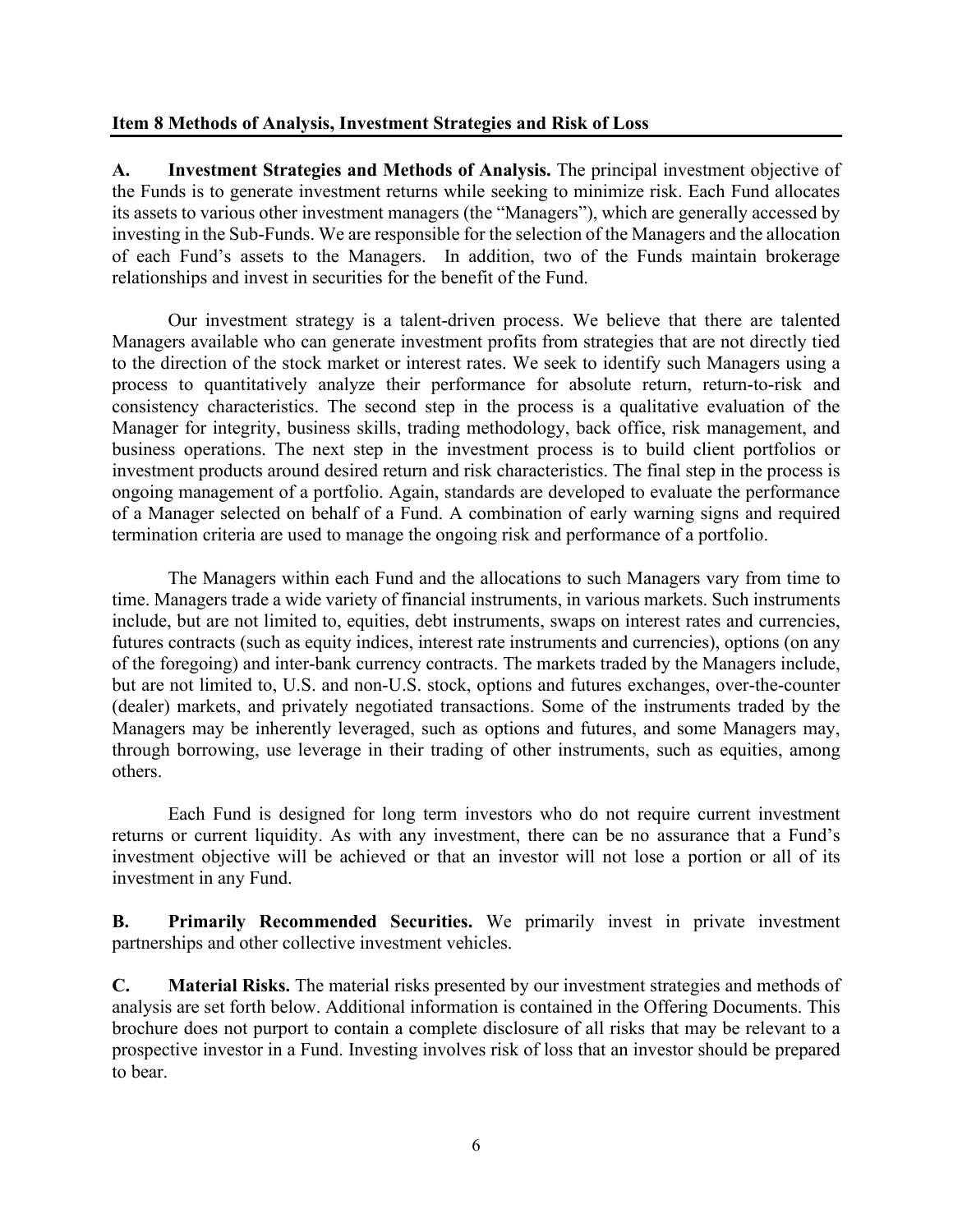#### **Item 8 Methods of Analysis, Investment Strategies and Risk of Loss**

**A. Investment Strategies and Methods of Analysis.** The principal investment objective of the Funds is to generate investment returns while seeking to minimize risk. Each Fund allocates its assets to various other investment managers (the "Managers"), which are generally accessed by investing in the Sub-Funds. We are responsible for the selection of the Managers and the allocation of each Fund's assets to the Managers. In addition, two of the Funds maintain brokerage relationships and invest in securities for the benefit of the Fund.

Our investment strategy is a talent-driven process. We believe that there are talented Managers available who can generate investment profits from strategies that are not directly tied to the direction of the stock market or interest rates. We seek to identify such Managers using a process to quantitatively analyze their performance for absolute return, return-to-risk and consistency characteristics. The second step in the process is a qualitative evaluation of the Manager for integrity, business skills, trading methodology, back office, risk management, and business operations. The next step in the investment process is to build client portfolios or investment products around desired return and risk characteristics. The final step in the process is ongoing management of a portfolio. Again, standards are developed to evaluate the performance of a Manager selected on behalf of a Fund. A combination of early warning signs and required termination criteria are used to manage the ongoing risk and performance of a portfolio.

The Managers within each Fund and the allocations to such Managers vary from time to time. Managers trade a wide variety of financial instruments, in various markets. Such instruments include, but are not limited to, equities, debt instruments, swaps on interest rates and currencies, futures contracts (such as equity indices, interest rate instruments and currencies), options (on any of the foregoing) and inter-bank currency contracts. The markets traded by the Managers include, but are not limited to, U.S. and non-U.S. stock, options and futures exchanges, over-the-counter (dealer) markets, and privately negotiated transactions. Some of the instruments traded by the Managers may be inherently leveraged, such as options and futures, and some Managers may, through borrowing, use leverage in their trading of other instruments, such as equities, among others.

Each Fund is designed for long term investors who do not require current investment returns or current liquidity. As with any investment, there can be no assurance that a Fund's investment objective will be achieved or that an investor will not lose a portion or all of its investment in any Fund.

**B. Primarily Recommended Securities.** We primarily invest in private investment partnerships and other collective investment vehicles.

**C. Material Risks.** The material risks presented by our investment strategies and methods of analysis are set forth below. Additional information is contained in the Offering Documents. This brochure does not purport to contain a complete disclosure of all risks that may be relevant to a prospective investor in a Fund. Investing involves risk of loss that an investor should be prepared to bear.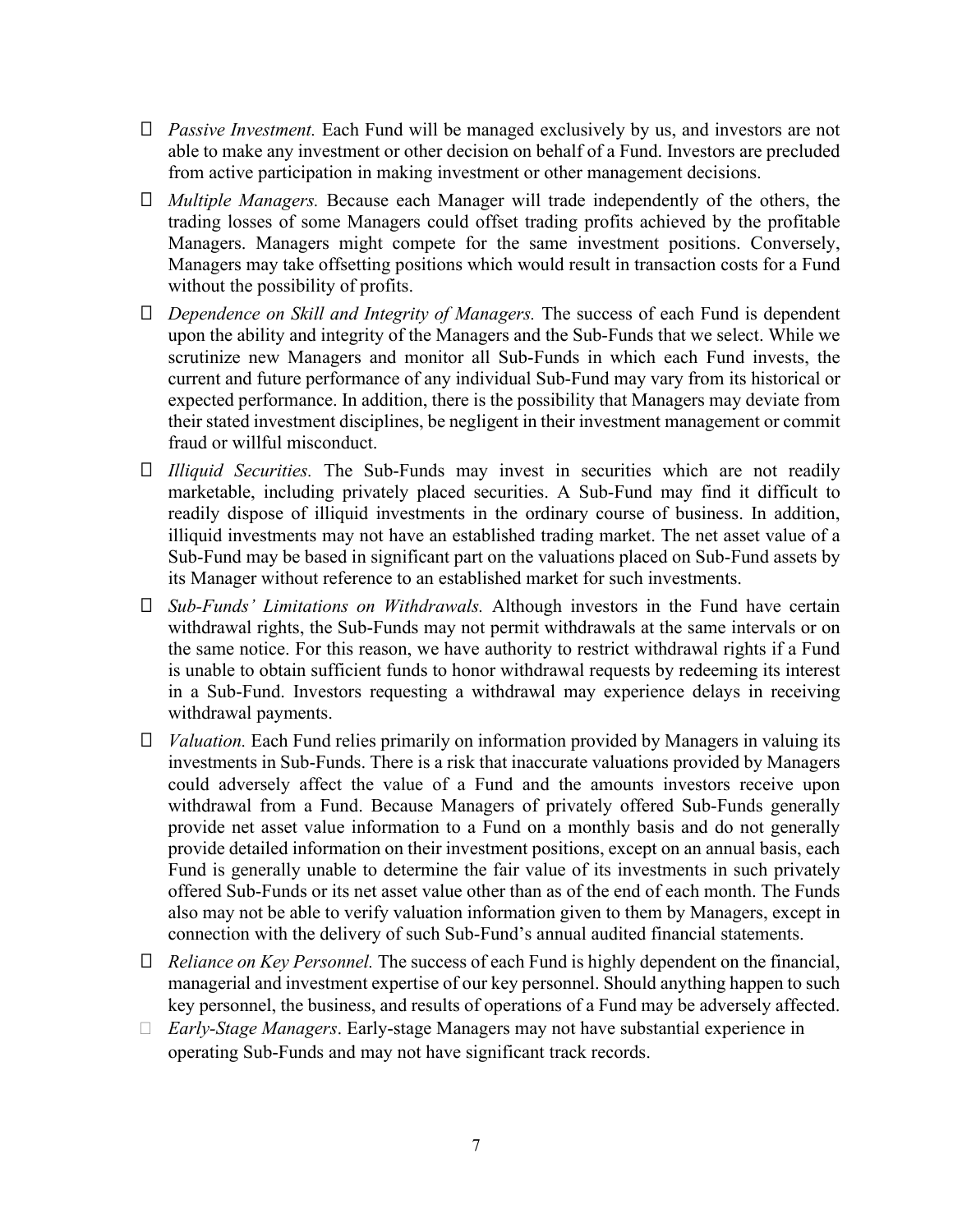- *Passive Investment.* Each Fund will be managed exclusively by us, and investors are not able to make any investment or other decision on behalf of a Fund. Investors are precluded from active participation in making investment or other management decisions.
- *Multiple Managers.* Because each Manager will trade independently of the others, the trading losses of some Managers could offset trading profits achieved by the profitable Managers. Managers might compete for the same investment positions. Conversely, Managers may take offsetting positions which would result in transaction costs for a Fund without the possibility of profits.
- *Dependence on Skill and Integrity of Managers.* The success of each Fund is dependent upon the ability and integrity of the Managers and the Sub-Funds that we select. While we scrutinize new Managers and monitor all Sub-Funds in which each Fund invests, the current and future performance of any individual Sub-Fund may vary from its historical or expected performance. In addition, there is the possibility that Managers may deviate from their stated investment disciplines, be negligent in their investment management or commit fraud or willful misconduct.
- *Illiquid Securities.* The Sub-Funds may invest in securities which are not readily marketable, including privately placed securities. A Sub-Fund may find it difficult to readily dispose of illiquid investments in the ordinary course of business. In addition, illiquid investments may not have an established trading market. The net asset value of a Sub-Fund may be based in significant part on the valuations placed on Sub-Fund assets by its Manager without reference to an established market for such investments.
- *Sub-Funds' Limitations on Withdrawals.* Although investors in the Fund have certain withdrawal rights, the Sub-Funds may not permit withdrawals at the same intervals or on the same notice. For this reason, we have authority to restrict withdrawal rights if a Fund is unable to obtain sufficient funds to honor withdrawal requests by redeeming its interest in a Sub-Fund. Investors requesting a withdrawal may experience delays in receiving withdrawal payments.
- *Valuation.* Each Fund relies primarily on information provided by Managers in valuing its investments in Sub-Funds. There is a risk that inaccurate valuations provided by Managers could adversely affect the value of a Fund and the amounts investors receive upon withdrawal from a Fund. Because Managers of privately offered Sub-Funds generally provide net asset value information to a Fund on a monthly basis and do not generally provide detailed information on their investment positions, except on an annual basis, each Fund is generally unable to determine the fair value of its investments in such privately offered Sub-Funds or its net asset value other than as of the end of each month. The Funds also may not be able to verify valuation information given to them by Managers, except in connection with the delivery of such Sub-Fund's annual audited financial statements.
- *Reliance on Key Personnel.* The success of each Fund is highly dependent on the financial, managerial and investment expertise of our key personnel. Should anything happen to such key personnel, the business, and results of operations of a Fund may be adversely affected.
- *Early-Stage Managers*. Early-stage Managers may not have substantial experience in operating Sub-Funds and may not have significant track records.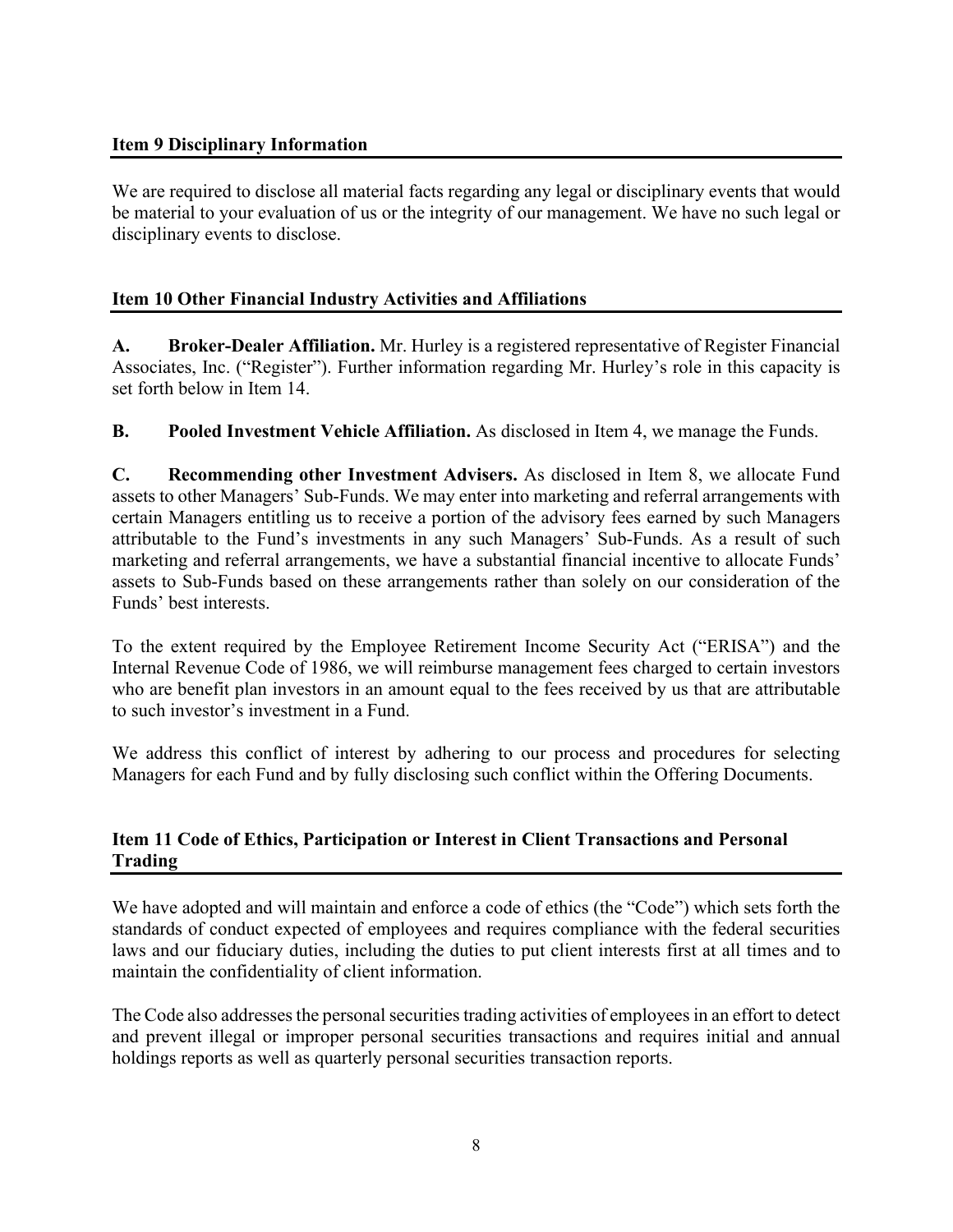## **Item 9 Disciplinary Information**

We are required to disclose all material facts regarding any legal or disciplinary events that would be material to your evaluation of us or the integrity of our management. We have no such legal or disciplinary events to disclose.

## **Item 10 Other Financial Industry Activities and Affiliations**

**A. Broker-Dealer Affiliation.** Mr. Hurley is a registered representative of Register Financial Associates, Inc. ("Register"). Further information regarding Mr. Hurley's role in this capacity is set forth below in Item 14.

**B.** Pooled Investment Vehicle Affiliation. As disclosed in Item 4, we manage the Funds.

**C. Recommending other Investment Advisers.** As disclosed in Item 8, we allocate Fund assets to other Managers' Sub-Funds. We may enter into marketing and referral arrangements with certain Managers entitling us to receive a portion of the advisory fees earned by such Managers attributable to the Fund's investments in any such Managers' Sub-Funds. As a result of such marketing and referral arrangements, we have a substantial financial incentive to allocate Funds' assets to Sub-Funds based on these arrangements rather than solely on our consideration of the Funds' best interests.

To the extent required by the Employee Retirement Income Security Act ("ERISA") and the Internal Revenue Code of 1986, we will reimburse management fees charged to certain investors who are benefit plan investors in an amount equal to the fees received by us that are attributable to such investor's investment in a Fund.

We address this conflict of interest by adhering to our process and procedures for selecting Managers for each Fund and by fully disclosing such conflict within the Offering Documents.

## **Item 11 Code of Ethics, Participation or Interest in Client Transactions and Personal Trading**

We have adopted and will maintain and enforce a code of ethics (the "Code") which sets forth the standards of conduct expected of employees and requires compliance with the federal securities laws and our fiduciary duties, including the duties to put client interests first at all times and to maintain the confidentiality of client information.

The Code also addresses the personal securities trading activities of employees in an effort to detect and prevent illegal or improper personal securities transactions and requires initial and annual holdings reports as well as quarterly personal securities transaction reports.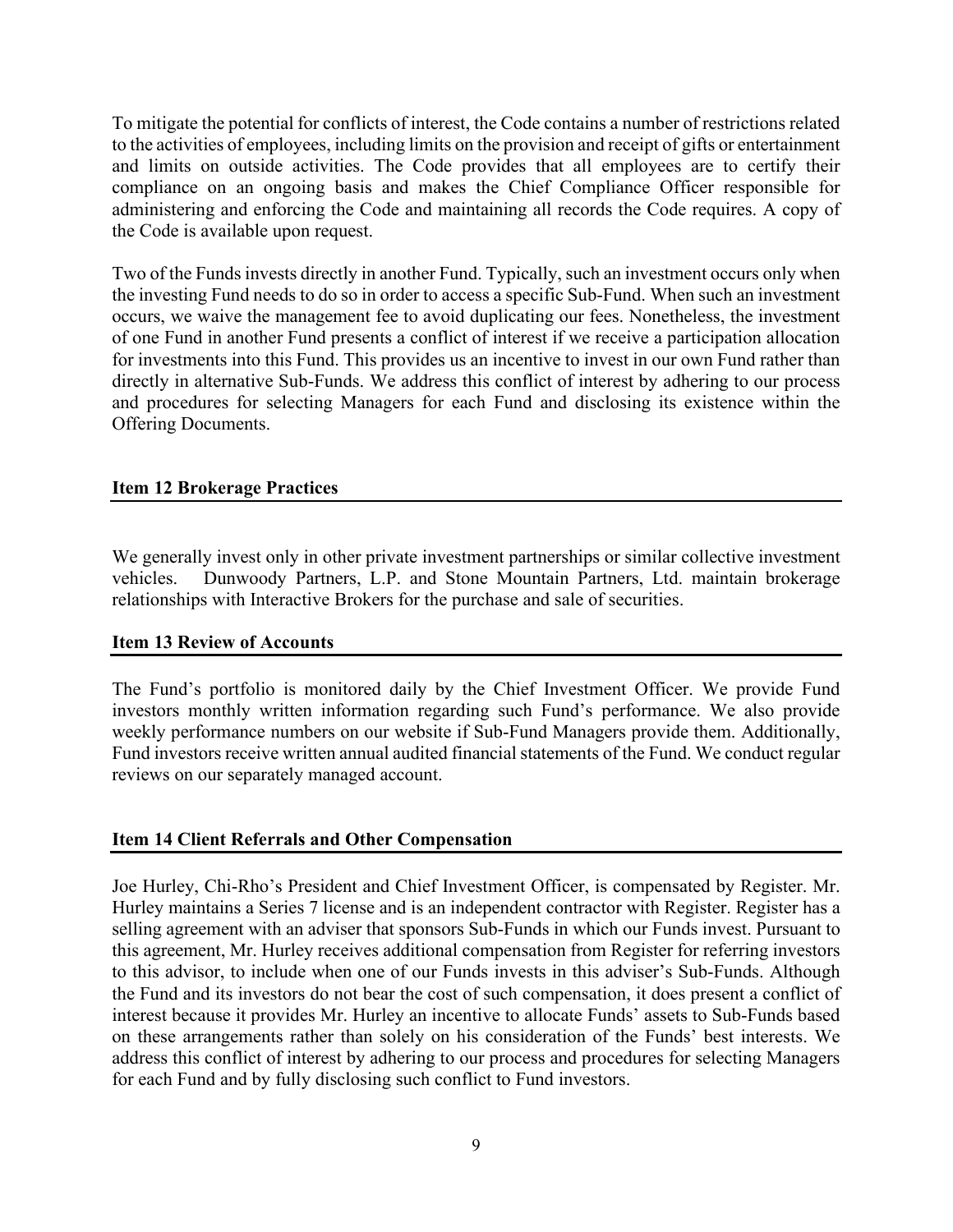To mitigate the potential for conflicts of interest, the Code contains a number of restrictions related to the activities of employees, including limits on the provision and receipt of gifts or entertainment and limits on outside activities. The Code provides that all employees are to certify their compliance on an ongoing basis and makes the Chief Compliance Officer responsible for administering and enforcing the Code and maintaining all records the Code requires. A copy of the Code is available upon request.

Two of the Funds invests directly in another Fund. Typically, such an investment occurs only when the investing Fund needs to do so in order to access a specific Sub-Fund. When such an investment occurs, we waive the management fee to avoid duplicating our fees. Nonetheless, the investment of one Fund in another Fund presents a conflict of interest if we receive a participation allocation for investments into this Fund. This provides us an incentive to invest in our own Fund rather than directly in alternative Sub-Funds. We address this conflict of interest by adhering to our process and procedures for selecting Managers for each Fund and disclosing its existence within the Offering Documents.

## **Item 12 Brokerage Practices**

We generally invest only in other private investment partnerships or similar collective investment vehicles. Dunwoody Partners, L.P. and Stone Mountain Partners, Ltd. maintain brokerage relationships with Interactive Brokers for the purchase and sale of securities.

### **Item 13 Review of Accounts**

The Fund's portfolio is monitored daily by the Chief Investment Officer. We provide Fund investors monthly written information regarding such Fund's performance. We also provide weekly performance numbers on our website if Sub-Fund Managers provide them. Additionally, Fund investors receive written annual audited financial statements of the Fund. We conduct regular reviews on our separately managed account.

### **Item 14 Client Referrals and Other Compensation**

Joe Hurley, Chi-Rho's President and Chief Investment Officer, is compensated by Register. Mr. Hurley maintains a Series 7 license and is an independent contractor with Register. Register has a selling agreement with an adviser that sponsors Sub-Funds in which our Funds invest. Pursuant to this agreement, Mr. Hurley receives additional compensation from Register for referring investors to this advisor, to include when one of our Funds invests in this adviser's Sub-Funds. Although the Fund and its investors do not bear the cost of such compensation, it does present a conflict of interest because it provides Mr. Hurley an incentive to allocate Funds' assets to Sub-Funds based on these arrangements rather than solely on his consideration of the Funds' best interests. We address this conflict of interest by adhering to our process and procedures for selecting Managers for each Fund and by fully disclosing such conflict to Fund investors.